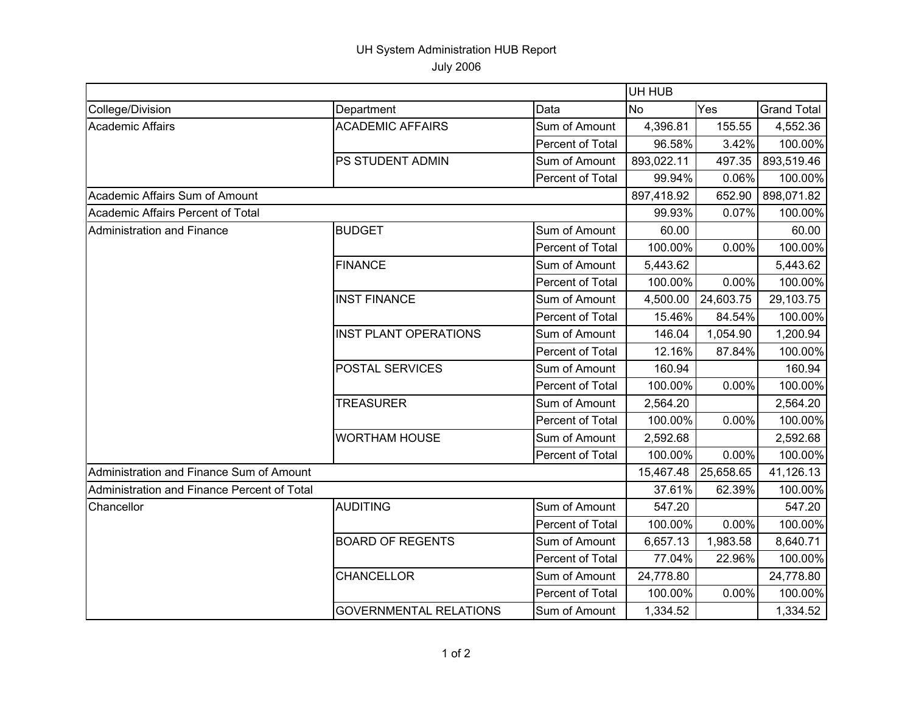## UH System Administration HUB Report

July 2006

|                                             |                               |                  | UH HUB     |           |                    |  |
|---------------------------------------------|-------------------------------|------------------|------------|-----------|--------------------|--|
| College/Division                            | Department                    | Data             | <b>No</b>  | Yes       | <b>Grand Total</b> |  |
| <b>Academic Affairs</b>                     | <b>ACADEMIC AFFAIRS</b>       | Sum of Amount    | 4,396.81   | 155.55    | 4,552.36           |  |
|                                             |                               | Percent of Total | 96.58%     | 3.42%     | 100.00%            |  |
|                                             | PS STUDENT ADMIN              | Sum of Amount    | 893,022.11 | 497.35    | 893,519.46         |  |
|                                             |                               | Percent of Total | 99.94%     | 0.06%     | 100.00%            |  |
| Academic Affairs Sum of Amount              |                               |                  | 897,418.92 | 652.90    | 898,071.82         |  |
| Academic Affairs Percent of Total           |                               |                  | 99.93%     | 0.07%     | 100.00%            |  |
| Administration and Finance                  | <b>BUDGET</b>                 | Sum of Amount    | 60.00      |           | 60.00              |  |
|                                             |                               | Percent of Total | 100.00%    | 0.00%     | 100.00%            |  |
|                                             | <b>FINANCE</b>                | Sum of Amount    | 5,443.62   |           | 5,443.62           |  |
|                                             |                               | Percent of Total | 100.00%    | 0.00%     | 100.00%            |  |
|                                             | <b>INST FINANCE</b>           | Sum of Amount    | 4,500.00   | 24,603.75 | 29,103.75          |  |
|                                             |                               | Percent of Total | 15.46%     | 84.54%    | 100.00%            |  |
|                                             | <b>INST PLANT OPERATIONS</b>  | Sum of Amount    | 146.04     | 1,054.90  | 1,200.94           |  |
|                                             |                               | Percent of Total | 12.16%     | 87.84%    | 100.00%            |  |
|                                             | <b>POSTAL SERVICES</b>        | Sum of Amount    | 160.94     |           | 160.94             |  |
|                                             |                               | Percent of Total | 100.00%    | 0.00%     | 100.00%            |  |
|                                             | <b>TREASURER</b>              | Sum of Amount    | 2,564.20   |           | 2,564.20           |  |
|                                             |                               | Percent of Total | 100.00%    | 0.00%     | 100.00%            |  |
|                                             | <b>WORTHAM HOUSE</b>          | Sum of Amount    | 2,592.68   |           | 2,592.68           |  |
|                                             |                               | Percent of Total | 100.00%    | 0.00%     | 100.00%            |  |
| Administration and Finance Sum of Amount    |                               |                  | 15,467.48  | 25,658.65 | 41,126.13          |  |
| Administration and Finance Percent of Total |                               |                  | 37.61%     | 62.39%    | 100.00%            |  |
| Chancellor                                  | <b>AUDITING</b>               | Sum of Amount    | 547.20     |           | 547.20             |  |
|                                             |                               | Percent of Total | 100.00%    | 0.00%     | 100.00%            |  |
|                                             | <b>BOARD OF REGENTS</b>       | Sum of Amount    | 6,657.13   | 1,983.58  | 8,640.71           |  |
|                                             |                               | Percent of Total | 77.04%     | 22.96%    | 100.00%            |  |
|                                             | <b>CHANCELLOR</b>             | Sum of Amount    | 24,778.80  |           | 24,778.80          |  |
|                                             |                               | Percent of Total | 100.00%    | 0.00%     | 100.00%            |  |
|                                             | <b>GOVERNMENTAL RELATIONS</b> | Sum of Amount    | 1,334.52   |           | 1,334.52           |  |